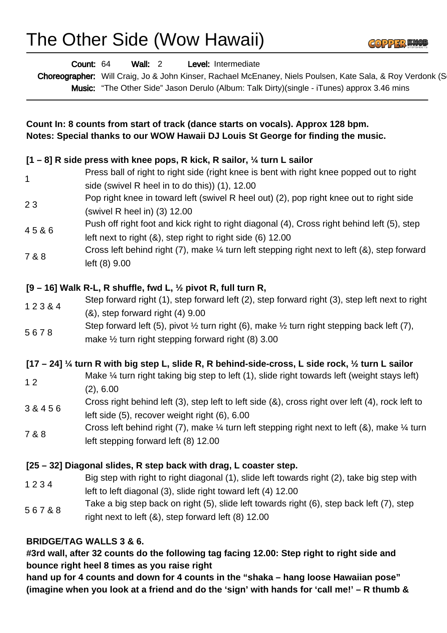

| <b>Wall: 2</b><br>Count: 64<br>Level: Intermediate<br>Choreographer: Will Craig, Jo & John Kinser, Rachael McEnaney, Niels Poulsen, Kate Sala, & Roy Verdonk (S<br>Music: "The Other Side" Jason Derulo (Album: Talk Dirty)(single - iTunes) approx 3.46 mins<br>Count In: 8 counts from start of track (dance starts on vocals). Approx 128 bpm.<br>Notes: Special thanks to our WOW Hawaii DJ Louis St George for finding the music. |                                                                                                                                                                                   |
|----------------------------------------------------------------------------------------------------------------------------------------------------------------------------------------------------------------------------------------------------------------------------------------------------------------------------------------------------------------------------------------------------------------------------------------|-----------------------------------------------------------------------------------------------------------------------------------------------------------------------------------|
|                                                                                                                                                                                                                                                                                                                                                                                                                                        |                                                                                                                                                                                   |
| 1                                                                                                                                                                                                                                                                                                                                                                                                                                      | Press ball of right to right side (right knee is bent with right knee popped out to right<br>side (swivel R heel in to do this)) (1), 12.00                                       |
| 23                                                                                                                                                                                                                                                                                                                                                                                                                                     | Pop right knee in toward left (swivel R heel out) (2), pop right knee out to right side<br>(swivel R heel in) (3) 12.00                                                           |
| 45&6                                                                                                                                                                                                                                                                                                                                                                                                                                   | Push off right foot and kick right to right diagonal (4), Cross right behind left (5), step<br>left next to right (&), step right to right side (6) 12.00                         |
| 7 & 8                                                                                                                                                                                                                                                                                                                                                                                                                                  | Cross left behind right (7), make $\frac{1}{4}$ turn left stepping right next to left (&), step forward<br>left (8) 9.00                                                          |
|                                                                                                                                                                                                                                                                                                                                                                                                                                        | $[9 - 16]$ Walk R-L, R shuffle, fwd L, $\frac{1}{2}$ pivot R, full turn R,                                                                                                        |
| 123&4                                                                                                                                                                                                                                                                                                                                                                                                                                  | Step forward right (1), step forward left (2), step forward right (3), step left next to right<br>$(8)$ , step forward right $(4)$ 9.00                                           |
| 5678                                                                                                                                                                                                                                                                                                                                                                                                                                   | Step forward left (5), pivot $\frac{1}{2}$ turn right (6), make $\frac{1}{2}$ turn right stepping back left (7),<br>make $\frac{1}{2}$ turn right stepping forward right (8) 3.00 |
|                                                                                                                                                                                                                                                                                                                                                                                                                                        | [17 - 24] 1/4 turn R with big step L, slide R, R behind-side-cross, L side rock, 1/2 turn L sailor                                                                                |
| 12                                                                                                                                                                                                                                                                                                                                                                                                                                     | Make 1/4 turn right taking big step to left (1), slide right towards left (weight stays left)<br>(2), 6.00                                                                        |
| 3 & 4 5 6                                                                                                                                                                                                                                                                                                                                                                                                                              | Cross right behind left (3), step left to left side (&), cross right over left (4), rock left to<br>left side (5), recover weight right (6), 6.00                                 |
| 7 & 8                                                                                                                                                                                                                                                                                                                                                                                                                                  | Cross left behind right (7), make $\frac{1}{4}$ turn left stepping right next to left (&), make $\frac{1}{4}$ turn<br>left stepping forward left (8) 12.00                        |
|                                                                                                                                                                                                                                                                                                                                                                                                                                        | [25 – 32] Diagonal slides, R step back with drag, L coaster step.                                                                                                                 |
| 1234                                                                                                                                                                                                                                                                                                                                                                                                                                   | Big step with right to right diagonal (1), slide left towards right (2), take big step with<br>left to left diagonal (3), slide right toward left (4) 12.00                       |
| 567&8                                                                                                                                                                                                                                                                                                                                                                                                                                  | Take a big step back on right (5), slide left towards right (6), step back left (7), step<br>right next to left $(8)$ , step forward left $(8)$ 12.00                             |
|                                                                                                                                                                                                                                                                                                                                                                                                                                        | <b>BRIDGE/TAG WALLS 3 &amp; 6.</b><br>#3rd wall, after 32 counts do the following tag facing 12.00: Step right to right side and<br>bounce right heel 8 times as you raise right  |

**hand up for 4 counts and down for 4 counts in the "shaka – hang loose Hawaiian pose" (imagine when you look at a friend and do the 'sign' with hands for 'call me!' – R thumb &**